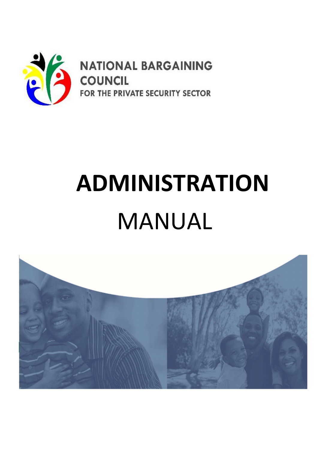

**NATIONAL BARGAINING COUNCIL** FOR THE PRIVATE SECURITY SECTOR

# ADMINISTRATION MANUAL

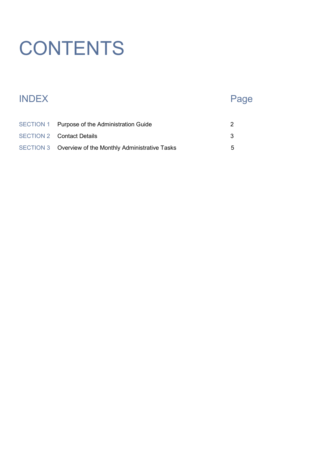## **CONTENTS**

#### INDEX Page

| SECTION 1 Purpose of the Administration Guide          |   |
|--------------------------------------------------------|---|
| <b>SECTION 2 Contact Details</b>                       |   |
| SECTION 3 Overview of the Monthly Administrative Tasks | 5 |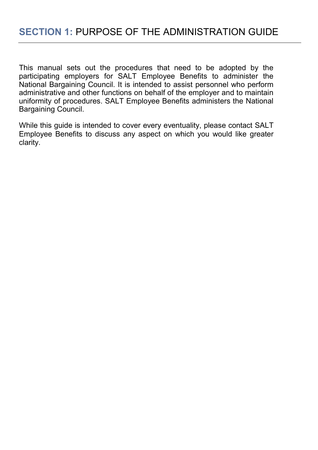This manual sets out the procedures that need to be adopted by the participating employers for SALT Employee Benefits to administer the National Bargaining Council. It is intended to assist personnel who perform administrative and other functions on behalf of the employer and to maintain uniformity of procedures. SALT Employee Benefits administers the National Bargaining Council.

While this guide is intended to cover every eventuality, please contact SALT Employee Benefits to discuss any aspect on which you would like greater clarity.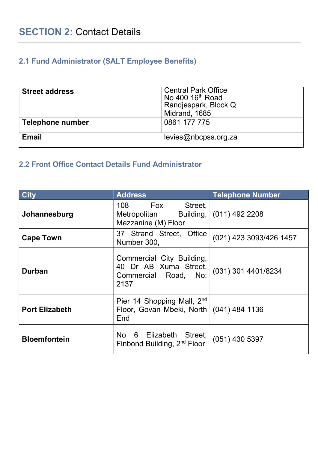#### 2.1 Fund Administrator (SALT Employee Benefits)

| <b>Street address</b> | <b>Central Park Office</b><br>No 400 16 <sup>th</sup> Road<br>Randjespark, Block Q |
|-----------------------|------------------------------------------------------------------------------------|
|                       | Midrand, 1685                                                                      |
| Telephone number      | 0861 177 775                                                                       |
| <b>Email</b>          | levies@nbcpss.org.za                                                               |

#### 2.2 Front Office Contact Details Fund Administrator

| <b>City</b>           | <b>Address</b>                                                                     | <b>Telephone Number</b> |  |  |  |
|-----------------------|------------------------------------------------------------------------------------|-------------------------|--|--|--|
| Johannesburg          | 108 Fox Street,<br>Metropolitan Building,<br>Mezzanine (M) Floor                   | $(011)$ 492 2208        |  |  |  |
| <b>Cape Town</b>      | 37 Strand Street, Office<br>Number 300,                                            | (021) 423 3093/426 1457 |  |  |  |
| <b>Durban</b>         | Commercial City Building,<br>40 Dr AB Xuma Street,<br>Commercial Road, No:<br>2137 | (031) 301 4401/8234     |  |  |  |
| <b>Port Elizabeth</b> | Pier 14 Shopping Mall, 2nd<br>Floor, Govan Mbeki, North   (041) 484 1136<br>End    |                         |  |  |  |
| <b>Bloemfontein</b>   | No 6 Elizabeth Street,<br>Finbond Building, 2 <sup>nd</sup> Floor                  | $(051)$ 430 5397        |  |  |  |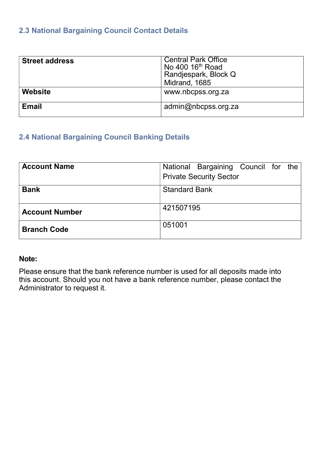#### 2.3 National Bargaining Council Contact Details

| <b>Street address</b> | <b>Central Park Office</b><br>No 400 16 <sup>th</sup> Road<br>Randjespark, Block Q<br>Midrand, 1685 |
|-----------------------|-----------------------------------------------------------------------------------------------------|
| Website               | www.nbcpss.org.za                                                                                   |
| <b>Email</b>          | admin@nbcpss.org.za                                                                                 |

#### 2.4 National Bargaining Council Banking Details

| <b>Account Name</b>                 | National Bargaining Council for the |  |  |  |  |  |  |
|-------------------------------------|-------------------------------------|--|--|--|--|--|--|
|                                     | <b>Private Security Sector</b>      |  |  |  |  |  |  |
| <b>Standard Bank</b><br><b>Bank</b> |                                     |  |  |  |  |  |  |
|                                     |                                     |  |  |  |  |  |  |
| <b>Account Number</b>               | 421507195                           |  |  |  |  |  |  |
| <b>Branch Code</b>                  | 051001                              |  |  |  |  |  |  |

#### Note:

Please ensure that the bank reference number is used for all deposits made into this account. Should you not have a bank reference number, please contact the Administrator to request it.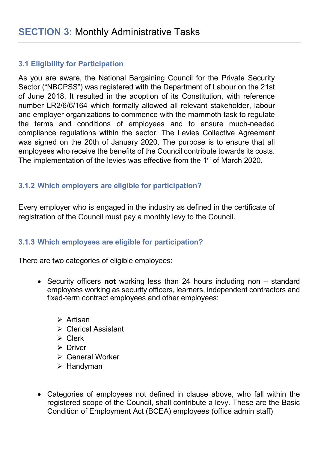#### 3.1 Eligibility for Participation

As you are aware, the National Bargaining Council for the Private Security Sector ("NBCPSS") was registered with the Department of Labour on the 21st of June 2018. It resulted in the adoption of its Constitution, with reference number LR2/6/6/164 which formally allowed all relevant stakeholder, labour and employer organizations to commence with the mammoth task to regulate the terms and conditions of employees and to ensure much-needed compliance regulations within the sector. The Levies Collective Agreement was signed on the 20th of January 2020. The purpose is to ensure that all employees who receive the benefits of the Council contribute towards its costs. The implementation of the levies was effective from the 1<sup>st</sup> of March 2020.

#### 3.1.2 Which employers are eligible for participation?

Every employer who is engaged in the industry as defined in the certificate of registration of the Council must pay a monthly levy to the Council.

#### 3.1.3 Which employees are eligible for participation?

There are two categories of eligible employees:

- Security officers not working less than 24 hours including non standard employees working as security officers, learners, independent contractors and fixed-term contract employees and other employees:
	- $\triangleright$  Artisan
	- **▶ Clerical Assistant**
	- $\triangleright$  Clerk
	- $\triangleright$  Driver
	- General Worker
	- $\triangleright$  Handyman
- Categories of employees not defined in clause above, who fall within the registered scope of the Council, shall contribute a levy. These are the Basic Condition of Employment Act (BCEA) employees (office admin staff)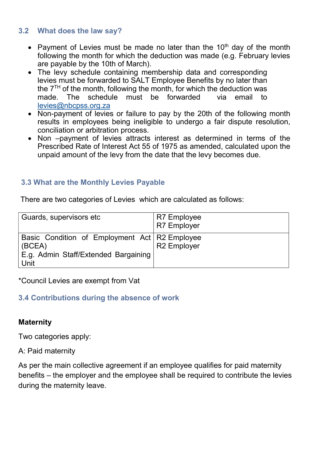#### 3.2 What does the law say?

- Payment of Levies must be made no later than the  $10<sup>th</sup>$  day of the month following the month for which the deduction was made (e.g. February levies are payable by the 10th of March).
- The levy schedule containing membership data and corresponding levies must be forwarded to SALT Employee Benefits by no later than the  $7<sup>TH</sup>$  of the month, following the month, for which the deduction was made. The schedule must be forwarded via email to levies@nbcpss.org.za
- Non-payment of levies or failure to pay by the 20th of the following month results in employees being ineligible to undergo a fair dispute resolution, conciliation or arbitration process.
- Non –payment of levies attracts interest as determined in terms of the Prescribed Rate of Interest Act 55 of 1975 as amended, calculated upon the unpaid amount of the levy from the date that the levy becomes due.

#### 3.3 What are the Monthly Levies Payable

There are two categories of Levies which are calculated as follows:

| Guards, supervisors etc                                                                                   | <b>R7 Employee</b><br><b>R7 Employer</b> |
|-----------------------------------------------------------------------------------------------------------|------------------------------------------|
| Basic Condition of Employment Act   R2 Employee<br>(BCEA)<br>E.g. Admin Staff/Extended Bargaining<br>Unit | <b>R2</b> Employer                       |

\*Council Levies are exempt from Vat

#### 3.4 Contributions during the absence of work

#### **Maternity**

Two categories apply:

#### A: Paid maternity

As per the main collective agreement if an employee qualifies for paid maternity benefits – the employer and the employee shall be required to contribute the levies during the maternity leave.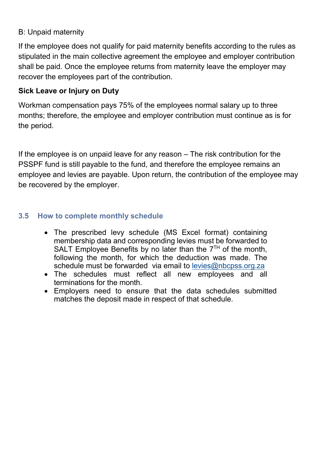#### B: Unpaid maternity

If the employee does not qualify for paid maternity benefits according to the rules as stipulated in the main collective agreement the employee and employer contribution shall be paid. Once the employee returns from maternity leave the employer may recover the employees part of the contribution.

#### Sick Leave or Injury on Duty

Workman compensation pays 75% of the employees normal salary up to three months; therefore, the employee and employer contribution must continue as is for the period.

If the employee is on unpaid leave for any reason – The risk contribution for the PSSPF fund is still payable to the fund, and therefore the employee remains an employee and levies are payable. Upon return, the contribution of the employee may be recovered by the employer.

#### 3.5 How to complete monthly schedule

- The prescribed levy schedule (MS Excel format) containing membership data and corresponding levies must be forwarded to SALT Employee Benefits by no later than the  $7<sup>TH</sup>$  of the month, following the month, for which the deduction was made. The schedule must be forwarded via email to levies@nbcpss.org.za
- The schedules must reflect all new employees and all terminations for the month.
- Employers need to ensure that the data schedules submitted matches the deposit made in respect of that schedule.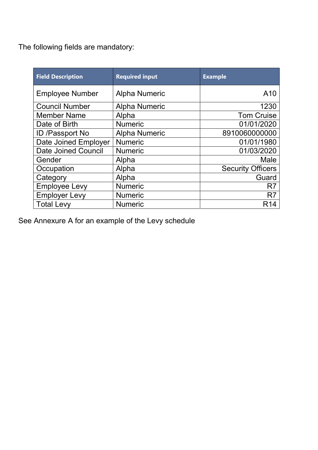The following fields are mandatory:

| <b>Field Description</b>   | <b>Required input</b> | <b>Example</b>           |
|----------------------------|-----------------------|--------------------------|
| <b>Employee Number</b>     | <b>Alpha Numeric</b>  | A10                      |
| <b>Council Number</b>      | <b>Alpha Numeric</b>  | 1230                     |
| <b>Member Name</b>         | Alpha                 | <b>Tom Cruise</b>        |
| Date of Birth              | <b>Numeric</b>        | 01/01/2020               |
| ID /Passport No            | <b>Alpha Numeric</b>  | 8910060000000            |
| Date Joined Employer       | <b>Numeric</b>        | 01/01/1980               |
| <b>Date Joined Council</b> | <b>Numeric</b>        | 01/03/2020               |
| Gender                     | Alpha                 | Male                     |
| Occupation                 | Alpha                 | <b>Security Officers</b> |
| Category                   | Alpha                 | Guard                    |
| <b>Employee Levy</b>       | <b>Numeric</b>        | R7                       |
| <b>Employer Levy</b>       | <b>Numeric</b>        | R <sub>7</sub>           |
| <b>Total Levy</b>          | <b>Numeric</b>        | R <sub>14</sub>          |

See Annexure A for an example of the Levy schedule